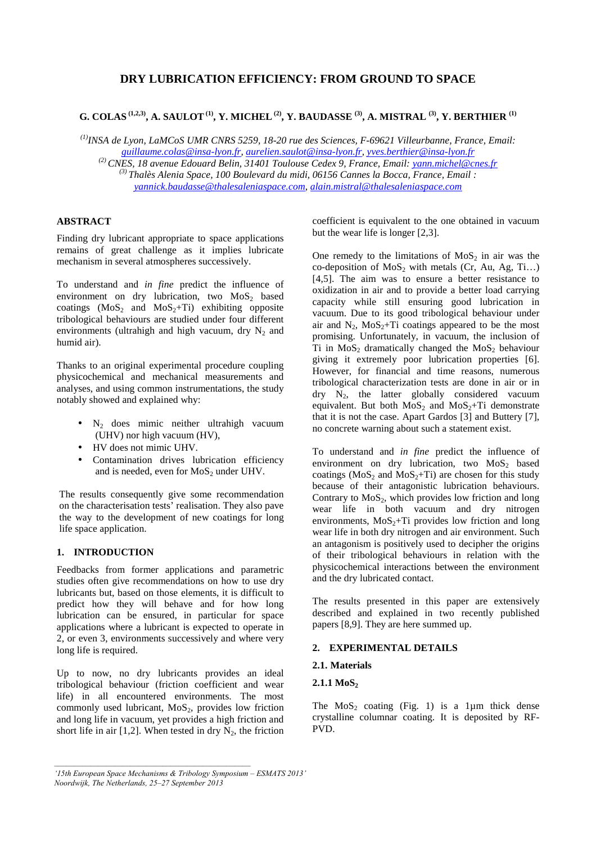# **DRY LUBRICATION EFFICIENCY: FROM GROUND TO SPACE**

# **G. COLAS (1,2,3), A. SAULOT (1), Y. MICHEL (2), Y. BAUDASSE (3), A. MISTRAL (3), Y. BERTHIER (1)**

*(1)INSA de Lyon, LaMCoS UMR CNRS 5259, 18-20 rue des Sciences, F-69621 Villeurbanne, France, Email: guillaume.colas@insa-lyon.fr, aurelien.saulot@insa-lyon.fr, yves.berthier@insa-lyon.fr (2) CNES, 18 avenue Edouard Belin, 31401 Toulouse Cedex 9, France, Email: yann.michel@cnes.fr (3) Thalès Alenia Space, 100 Boulevard du midi, 06156 Cannes la Bocca, France, Email : yannick.baudasse@thalesaleniaspace.com, alain.mistral@thalesaleniaspace.com* 

## **ABSTRACT**

Finding dry lubricant appropriate to space applications remains of great challenge as it implies lubricate mechanism in several atmospheres successively.

To understand and *in fine* predict the influence of environment on dry lubrication, two  $MoS<sub>2</sub>$  based coatings  $(MoS<sub>2</sub> and MoS<sub>2</sub>+Ti)$  exhibiting opposite tribological behaviours are studied under four different environments (ultrahigh and high vacuum, dry  $N_2$  and humid air).

Thanks to an original experimental procedure coupling physicochemical and mechanical measurements and analyses, and using common instrumentations, the study notably showed and explained why:

- $\bullet$  N<sub>2</sub> does mimic neither ultrahigh vacuum (UHV) nor high vacuum (HV),
- HV does not mimic UHV.
- Contamination drives lubrication efficiency and is needed, even for  $MoS<sub>2</sub>$  under UHV.

The results consequently give some recommendation on the characterisation tests' realisation. They also pave the way to the development of new coatings for long life space application.

# **1. INTRODUCTION**

Feedbacks from former applications and parametric studies often give recommendations on how to use dry lubricants but, based on those elements, it is difficult to predict how they will behave and for how long lubrication can be ensured, in particular for space applications where a lubricant is expected to operate in 2, or even 3, environments successively and where very long life is required.

Up to now, no dry lubricants provides an ideal tribological behaviour (friction coefficient and wear life) in all encountered environments. The most commonly used lubricant,  $MoS<sub>2</sub>$ , provides low friction and long life in vacuum, yet provides a high friction and short life in air [1,2]. When tested in dry  $N_2$ , the friction

coefficient is equivalent to the one obtained in vacuum but the wear life is longer [2,3].

One remedy to the limitations of  $MoS<sub>2</sub>$  in air was the co-deposition of  $MoS_2$  with metals (Cr, Au, Ag, Ti...) [4,5]. The aim was to ensure a better resistance to oxidization in air and to provide a better load carrying capacity while still ensuring good lubrication in vacuum. Due to its good tribological behaviour under air and  $N_2$ ,  $MoS_2+Ti$  coatings appeared to be the most promising. Unfortunately, in vacuum, the inclusion of Ti in  $MoS<sub>2</sub>$  dramatically changed the  $MoS<sub>2</sub>$  behaviour giving it extremely poor lubrication properties [6]. However, for financial and time reasons, numerous tribological characterization tests are done in air or in dry N2, the latter globally considered vacuum equivalent. But both  $MoS_2$  and  $MoS_2+Ti$  demonstrate that it is not the case. Apart Gardos [3] and Buttery [7], no concrete warning about such a statement exist.

To understand and *in fine* predict the influence of environment on dry lubrication, two  $MoS<sub>2</sub>$  based coatings ( $MoS<sub>2</sub>$  and  $MoS<sub>2</sub>+Ti$ ) are chosen for this study because of their antagonistic lubrication behaviours. Contrary to  $MoS<sub>2</sub>$ , which provides low friction and long wear life in both vacuum and dry nitrogen environments,  $MoS<sub>2</sub>+Ti$  provides low friction and long wear life in both dry nitrogen and air environment. Such an antagonism is positively used to decipher the origins of their tribological behaviours in relation with the physicochemical interactions between the environment and the dry lubricated contact.

The results presented in this paper are extensively described and explained in two recently published papers [8,9]. They are here summed up.

## **2. EXPERIMENTAL DETAILS**

#### **2.1. Materials**

#### **2.1.1 MoS**<sup>2</sup>

The  $MoS<sub>2</sub>$  coating (Fig. 1) is a 1µm thick dense crystalline columnar coating. It is deposited by RF-PVD.

*<sup>&#</sup>x27;15th European Space Mechanisms & Tribology Symposium – ESMATS 2013' Noordwijk, The Netherlands, 25–27 September 2013*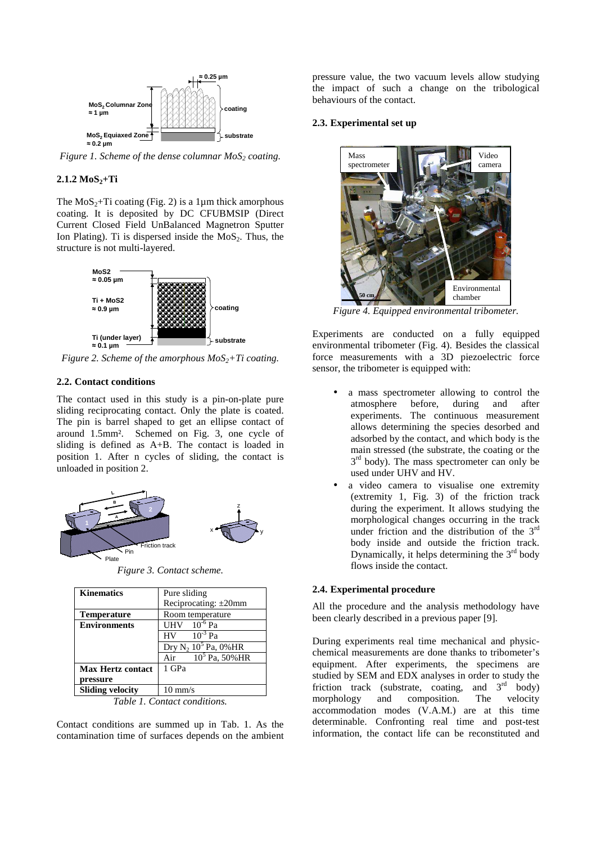

*Figure 1. Scheme of the dense columnar MoS2 coating.* 

## **2.1.2 MoS2+Ti**

The  $MoS<sub>2</sub>+Ti$  coating (Fig. 2) is a 1 $\mu$ m thick amorphous coating. It is deposited by DC CFUBMSIP (Direct Current Closed Field UnBalanced Magnetron Sputter Ion Plating). Ti is dispersed inside the  $MoS<sub>2</sub>$ . Thus, the structure is not multi-layered.



*Figure 2. Scheme of the amorphous MoS<sub>2</sub><sup>+Ti</sup> coating.* 

#### **2.2. Contact conditions**

The contact used in this study is a pin-on-plate pure sliding reciprocating contact. Only the plate is coated. The pin is barrel shaped to get an ellipse contact of around 1.5mm². Schemed on Fig. 3, one cycle of sliding is defined as A+B. The contact is loaded in position 1. After n cycles of sliding, the contact is unloaded in position 2.



*Figure 3. Contact scheme.* 

| <b>Kinematics</b>          | Pure sliding                       |
|----------------------------|------------------------------------|
|                            | Reciprocating: $\pm 20$ mm         |
| <b>Temperature</b>         | Room temperature                   |
| <b>Environments</b>        | UHV $10^{-6}$ Pa                   |
|                            | $10^{-3}$ Pa<br>HV                 |
|                            | Dry $N_2$ 10 <sup>5</sup> Pa, 0%HR |
|                            | $10^5$ Pa, 50% HR<br>Air           |
| <b>Max Hertz contact</b>   | 1 GPa                              |
| pressure                   |                                    |
| <b>Sliding velocity</b>    | $10 \text{ mm/s}$                  |
| Table 1 Contact conditions |                                    |

*Table 1. Contact conditions.* 

Contact conditions are summed up in Tab. 1. As the contamination time of surfaces depends on the ambient pressure value, the two vacuum levels allow studying the impact of such a change on the tribological behaviours of the contact.

#### **2.3. Experimental set up**



*Figure 4. Equipped environmental tribometer.* 

Experiments are conducted on a fully equipped environmental tribometer (Fig. 4). Besides the classical force measurements with a 3D piezoelectric force sensor, the tribometer is equipped with:

- a mass spectrometer allowing to control the atmosphere before, during and after experiments. The continuous measurement allows determining the species desorbed and adsorbed by the contact, and which body is the main stressed (the substrate, the coating or the  $3<sup>rd</sup>$  body). The mass spectrometer can only be used under UHV and HV.
- a video camera to visualise one extremity (extremity 1, Fig. 3) of the friction track during the experiment. It allows studying the morphological changes occurring in the track under friction and the distribution of the 3<sup>rd</sup> body inside and outside the friction track. Dynamically, it helps determining the  $3<sup>rd</sup>$  body flows inside the contact.

## **2.4. Experimental procedure**

All the procedure and the analysis methodology have been clearly described in a previous paper [9].

During experiments real time mechanical and physicchemical measurements are done thanks to tribometer's equipment. After experiments, the specimens are studied by SEM and EDX analyses in order to study the friction track (substrate, coating, and  $3<sup>rd</sup>$  body) morphology and composition. The velocity accommodation modes (V.A.M.) are at this time determinable. Confronting real time and post-test information, the contact life can be reconstituted and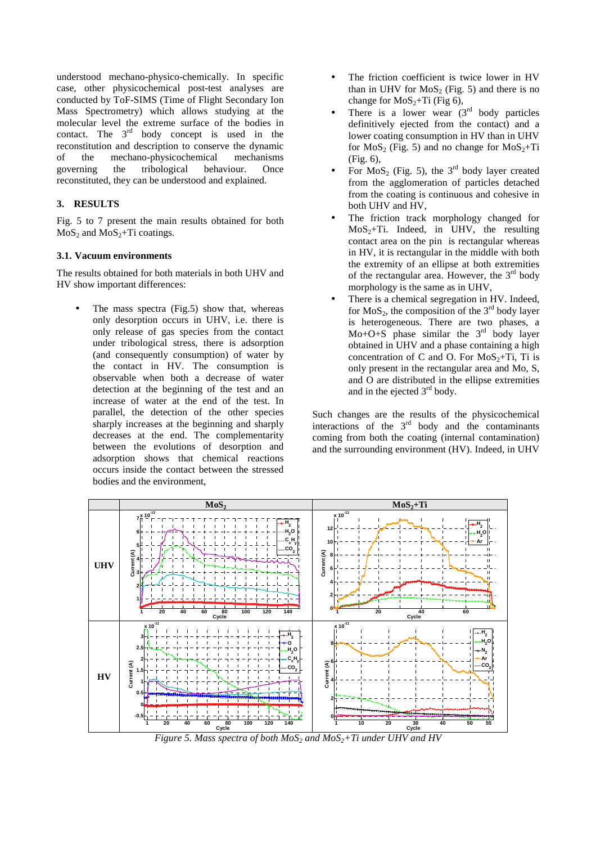understood mechano-physico-chemically. In specific case, other physicochemical post-test analyses are conducted by ToF-SIMS (Time of Flight Secondary Ion Mass Spectrometry) which allows studying at the molecular level the extreme surface of the bodies in contact. The  $3<sup>rd</sup>$  body concept is used in the reconstitution and description to conserve the dynamic of the mechano-physicochemical mechanisms governing the tribological behaviour. Once reconstituted, they can be understood and explained.

# **3. RESULTS**

Fig. 5 to 7 present the main results obtained for both  $MoS<sub>2</sub>$  and  $MoS<sub>2</sub>+Ti$  coatings.

# **3.1. Vacuum environments**

The results obtained for both materials in both UHV and HV show important differences:

The mass spectra (Fig.5) show that, whereas only desorption occurs in UHV, i.e. there is only release of gas species from the contact under tribological stress, there is adsorption (and consequently consumption) of water by the contact in HV. The consumption is observable when both a decrease of water detection at the beginning of the test and an increase of water at the end of the test. In parallel, the detection of the other species sharply increases at the beginning and sharply decreases at the end. The complementarity between the evolutions of desorption and adsorption shows that chemical reactions occurs inside the contact between the stressed bodies and the environment,

- The friction coefficient is twice lower in HV than in UHV for  $MoS<sub>2</sub>$  (Fig. 5) and there is no change for  $MoS_2+Ti$  (Fig 6),
- There is a lower wear  $(3<sup>rd</sup>$  body particles definitively ejected from the contact) and a lower coating consumption in HV than in UHV for  $MoS_2$  (Fig. 5) and no change for  $MoS_2+Ti$ (Fig. 6),
- For  $MoS<sub>2</sub>$  (Fig. 5), the 3<sup>rd</sup> body layer created from the agglomeration of particles detached from the coating is continuous and cohesive in both UHV and HV,
- The friction track morphology changed for  $MoS<sub>2</sub>+Ti. Indeed, in UHV, the resulting$ contact area on the pin is rectangular whereas in HV, it is rectangular in the middle with both the extremity of an ellipse at both extremities of the rectangular area. However, the  $3<sup>rd</sup>$  body morphology is the same as in UHV,
- There is a chemical segregation in HV. Indeed, for  $MoS<sub>2</sub>$ , the composition of the  $3<sup>rd</sup>$  body layer is heterogeneous. There are two phases, a Mo+O+S phase similar the  $3<sup>rd</sup>$  body layer obtained in UHV and a phase containing a high concentration of C and O. For  $MoS_2+Ti$ , Ti is only present in the rectangular area and Mo, S, and O are distributed in the ellipse extremities and in the ejected 3rd body.

Such changes are the results of the physicochemical interactions of the  $3<sup>rd</sup>$  body and the contaminants coming from both the coating (internal contamination) and the surrounding environment (HV). Indeed, in UHV



*Figure 5. Mass spectra of both MoS<sub>2</sub></sub> and MoS<sub>2</sub>+Ti under UHV and HV*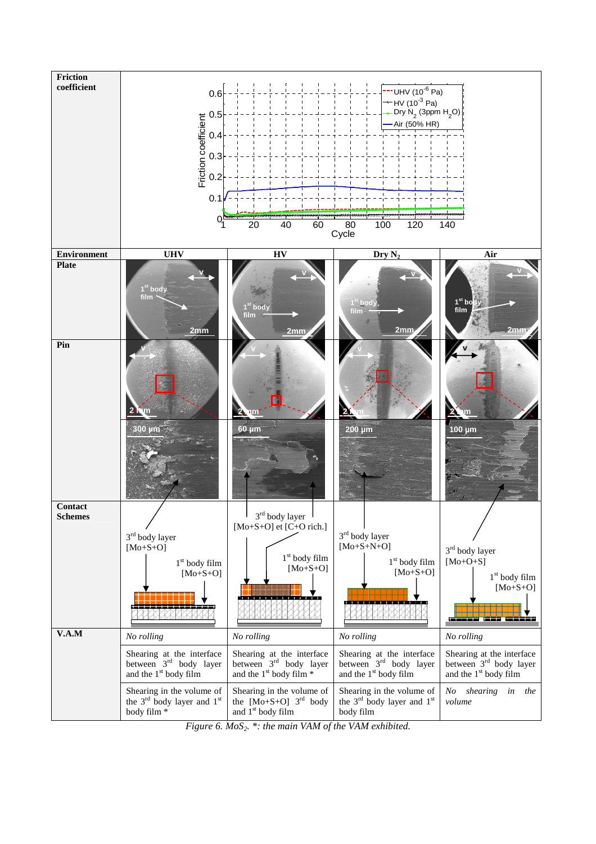

*Figure 6. MoS2. \*: the main VAM of the VAM exhibited.*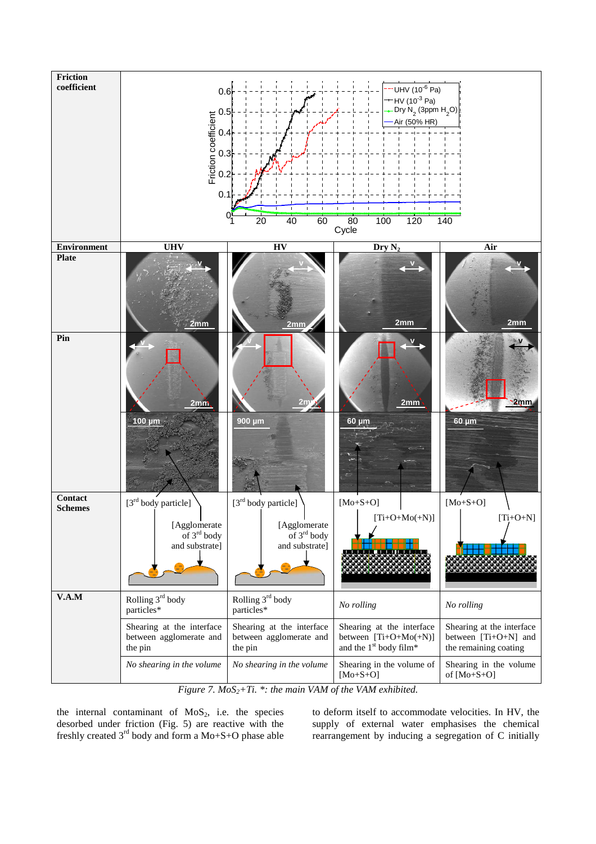

*Figure 7. MoS2+Ti. \*: the main VAM of the VAM exhibited.* 

the internal contaminant of  $MoS<sub>2</sub>$ , i.e. the species desorbed under friction (Fig. 5) are reactive with the freshly created 3rd body and form a Mo+S+O phase able to deform itself to accommodate velocities. In HV, the supply of external water emphasises the chemical rearrangement by inducing a segregation of C initially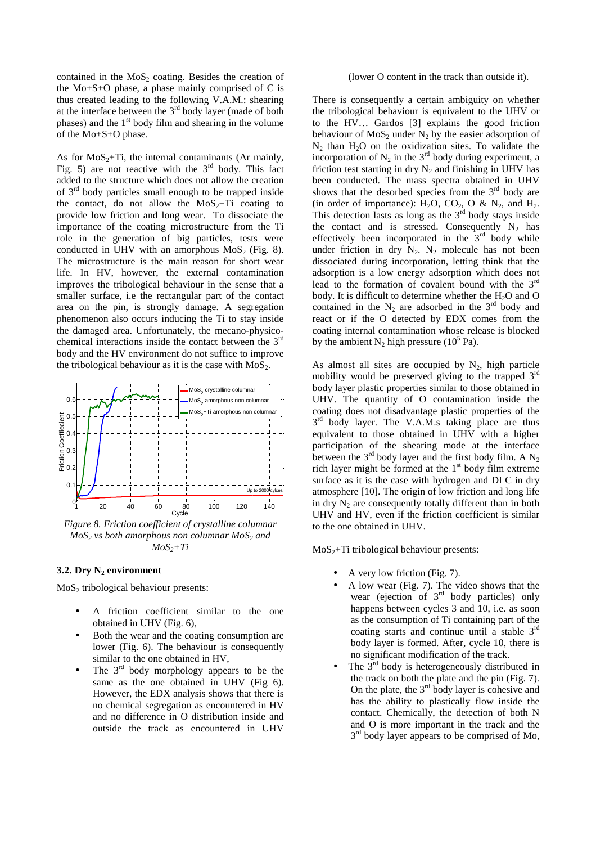contained in the  $MoS<sub>2</sub>$  coating. Besides the creation of the Mo+S+O phase, a phase mainly comprised of C is thus created leading to the following V.A.M.: shearing at the interface between the 3rd body layer (made of both phases) and the  $1<sup>st</sup>$  body film and shearing in the volume of the Mo+S+O phase.

As for  $MoS<sub>2</sub>+Ti$ , the internal contaminants (Ar mainly, Fig. 5) are not reactive with the  $3<sup>rd</sup>$  body. This fact added to the structure which does not allow the creation of 3rd body particles small enough to be trapped inside the contact, do not allow the  $MoS<sub>2</sub>+Ti$  coating to provide low friction and long wear. To dissociate the importance of the coating microstructure from the Ti role in the generation of big particles, tests were conducted in UHV with an amorphous  $MoS<sub>2</sub>$  (Fig. 8). The microstructure is the main reason for short wear life. In HV, however, the external contamination improves the tribological behaviour in the sense that a smaller surface, i.e the rectangular part of the contact area on the pin, is strongly damage. A segregation phenomenon also occurs inducing the Ti to stay inside the damaged area. Unfortunately, the mecano-physicochemical interactions inside the contact between the 3rd body and the HV environment do not suffice to improve the tribological behaviour as it is the case with  $MoS<sub>2</sub>$ .



*Figure 8. Friction coefficient of crystalline columnar MoS2 vs both amorphous non columnar MoS2 and*   $MoS<sub>2</sub>+Ti$ 

## **3.2. Dry N2 environment**

MoS2 tribological behaviour presents:

- A friction coefficient similar to the one obtained in UHV (Fig. 6),
- Both the wear and the coating consumption are lower (Fig. 6). The behaviour is consequently similar to the one obtained in HV,
- The  $3<sup>rd</sup>$  body morphology appears to be the same as the one obtained in UHV (Fig 6). However, the EDX analysis shows that there is no chemical segregation as encountered in HV and no difference in O distribution inside and outside the track as encountered in UHV

(lower O content in the track than outside it).

There is consequently a certain ambiguity on whether the tribological behaviour is equivalent to the UHV or to the HV… Gardos [3] explains the good friction behaviour of  $MoS<sub>2</sub>$  under N<sub>2</sub> by the easier adsorption of  $N_2$  than  $H_2O$  on the oxidization sites. To validate the incorporation of  $N_2$  in the 3<sup>rd</sup> body during experiment, a friction test starting in dry  $N_2$  and finishing in UHV has been conducted. The mass spectra obtained in UHV shows that the desorbed species from the  $3<sup>rd</sup>$  body are (in order of importance):  $H_2O$ ,  $CO_2$ ,  $O$  &  $N_2$ , and  $H_2$ . This detection lasts as long as the  $3<sup>rd</sup>$  body stays inside the contact and is stressed. Consequently  $N_2$  has effectively been incorporated in the  $3<sup>rd</sup>$  body while under friction in dry  $N_2$ .  $N_2$  molecule has not been dissociated during incorporation, letting think that the adsorption is a low energy adsorption which does not lead to the formation of covalent bound with the 3rd body. It is difficult to determine whether the  $H_2O$  and  $O$ contained in the  $N_2$  are adsorbed in the 3<sup>rd</sup> body and react or if the O detected by EDX comes from the coating internal contamination whose release is blocked by the ambient  $N_2$  high pressure (10<sup>5</sup> Pa).

As almost all sites are occupied by  $N_2$ , high particle mobility would be preserved giving to the trapped 3rd body layer plastic properties similar to those obtained in UHV. The quantity of O contamination inside the coating does not disadvantage plastic properties of the  $3<sup>rd</sup>$  body layer. The V.A.M.s taking place are thus equivalent to those obtained in UHV with a higher participation of the shearing mode at the interface between the  $3<sup>rd</sup>$  body layer and the first body film. A N<sub>2</sub> rich layer might be formed at the  $1<sup>st</sup>$  body film extreme surface as it is the case with hydrogen and DLC in dry atmosphere [10]. The origin of low friction and long life in dry  $N_2$  are consequently totally different than in both UHV and HV, even if the friction coefficient is similar to the one obtained in UHV.

 $MoS<sub>2</sub>+Ti$  tribological behaviour presents:

- A very low friction (Fig. 7).
- A low wear (Fig. 7). The video shows that the wear (ejection of 3<sup>rd</sup> body particles) only happens between cycles 3 and 10, i.e. as soon as the consumption of Ti containing part of the coating starts and continue until a stable 3rd body layer is formed. After, cycle 10, there is no significant modification of the track.
- The  $3<sup>rd</sup>$  body is heterogeneously distributed in the track on both the plate and the pin (Fig. 7). On the plate, the  $3<sup>rd</sup>$  body layer is cohesive and has the ability to plastically flow inside the contact. Chemically, the detection of both N and O is more important in the track and the  $3<sup>rd</sup>$  body layer appears to be comprised of Mo,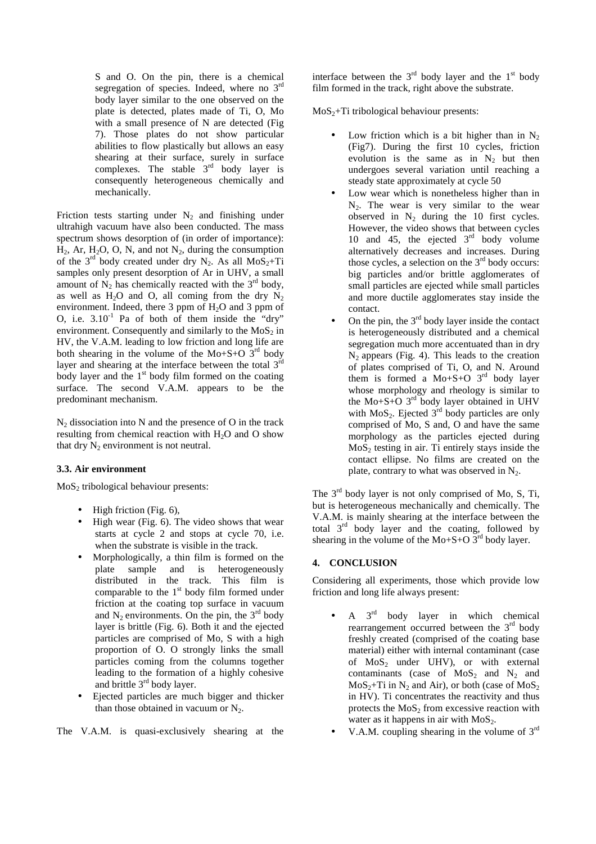S and O. On the pin, there is a chemical segregation of species. Indeed, where no  $3<sup>rd</sup>$ body layer similar to the one observed on the plate is detected, plates made of Ti, O, Mo with a small presence of N are detected (Fig 7). Those plates do not show particular abilities to flow plastically but allows an easy shearing at their surface, surely in surface complexes. The stable  $3<sup>rd</sup>$  body layer is consequently heterogeneous chemically and mechanically.

Friction tests starting under  $N_2$  and finishing under ultrahigh vacuum have also been conducted. The mass spectrum shows desorption of (in order of importance):  $H_2$ , Ar,  $H_2O$ , O, N, and not  $N_2$ , during the consumption of the 3<sup>rd</sup> body created under dry N<sub>2</sub>. As all MoS<sub>2</sub>+Ti samples only present desorption of Ar in UHV, a small amount of  $N_2$  has chemically reacted with the  $3<sup>rd</sup>$  body, as well as  $H_2O$  and O, all coming from the dry  $N_2$ environment. Indeed, there 3 ppm of  $H_2O$  and 3 ppm of O, i.e.  $3.10<sup>-1</sup>$  Pa of both of them inside the "dry" environment. Consequently and similarly to the  $MoS<sub>2</sub>$  in HV, the V.A.M. leading to low friction and long life are both shearing in the volume of the Mo+S+O  $3<sup>rd</sup>$  body layer and shearing at the interface between the total  $3<sup>rd</sup>$ body layer and the  $1<sup>st</sup>$  body film formed on the coating surface. The second V.A.M. appears to be the predominant mechanism.

 $N<sub>2</sub>$  dissociation into N and the presence of O in the track resulting from chemical reaction with  $H_2O$  and O show that dry  $N_2$  environment is not neutral.

## **3.3. Air environment**

 $MoS<sub>2</sub>$  tribological behaviour presents:

- High friction (Fig. 6),
- High wear (Fig. 6). The video shows that wear starts at cycle 2 and stops at cycle 70, i.e. when the substrate is visible in the track.
- Morphologically, a thin film is formed on the plate sample and is heterogeneously sample and is heterogeneously distributed in the track. This film is comparable to the  $1<sup>st</sup>$  body film formed under friction at the coating top surface in vacuum and  $N_2$  environments. On the pin, the  $3<sup>rd</sup>$  body layer is brittle (Fig. 6). Both it and the ejected particles are comprised of Mo, S with a high proportion of O. O strongly links the small particles coming from the columns together leading to the formation of a highly cohesive and brittle 3rd body layer.
- Ejected particles are much bigger and thicker than those obtained in vacuum or  $N_2$ .

The V.A.M. is quasi-exclusively shearing at the

interface between the  $3<sup>rd</sup>$  body layer and the  $1<sup>st</sup>$  body film formed in the track, right above the substrate.

 $MoS<sub>2</sub>+Ti$  tribological behaviour presents:

- Low friction which is a bit higher than in  $N_2$ (Fig7). During the first 10 cycles, friction evolution is the same as in  $N_2$  but then undergoes several variation until reaching a steady state approximately at cycle 50
- Low wear which is nonetheless higher than in  $N<sub>2</sub>$ . The wear is very similar to the wear observed in  $N_2$  during the 10 first cycles. However, the video shows that between cycles 10 and 45, the ejected  $3<sup>rd</sup>$  body volume alternatively decreases and increases. During those cycles, a selection on the  $3<sup>rd</sup>$  body occurs: big particles and/or brittle agglomerates of small particles are ejected while small particles and more ductile agglomerates stay inside the contact.
- On the pin, the  $3<sup>rd</sup>$  body layer inside the contact is heterogeneously distributed and a chemical segregation much more accentuated than in dry  $N_2$  appears (Fig. 4). This leads to the creation of plates comprised of Ti, O, and N. Around them is formed a  $Mo+S+O$  3<sup>rd</sup> body layer whose morphology and rheology is similar to the Mo+S+O  $3<sup>rd</sup>$  body layer obtained in UHV with  $MoS<sub>2</sub>$ . Ejected  $3<sup>rd</sup>$  body particles are only comprised of Mo, S and, O and have the same morphology as the particles ejected during  $MoS<sub>2</sub>$  testing in air. Ti entirely stays inside the contact ellipse. No films are created on the plate, contrary to what was observed in  $N_2$ .

The 3<sup>rd</sup> body layer is not only comprised of Mo, S, Ti, but is heterogeneous mechanically and chemically. The V.A.M. is mainly shearing at the interface between the total  $3<sup>rd</sup>$  body layer and the coating, followed by shearing in the volume of the  $Mo+S+O$   $3<sup>rd</sup>$  body layer.

# **4. CONCLUSION**

Considering all experiments, those which provide low friction and long life always present:

- A 3rd body layer in which chemical rearrangement occurred between the  $3<sup>rd</sup>$  body freshly created (comprised of the coating base material) either with internal contaminant (case of  $MoS<sub>2</sub>$  under UHV), or with external contaminants (case of  $MoS<sub>2</sub>$  and  $N<sub>2</sub>$  and  $MoS<sub>2</sub>+Ti$  in N<sub>2</sub> and Air), or both (case of MoS<sub>2</sub>) in HV). Ti concentrates the reactivity and thus protects the  $MoS<sub>2</sub>$  from excessive reaction with water as it happens in air with  $MoS<sub>2</sub>$ .
- V.A.M. coupling shearing in the volume of 3<sup>rd</sup>